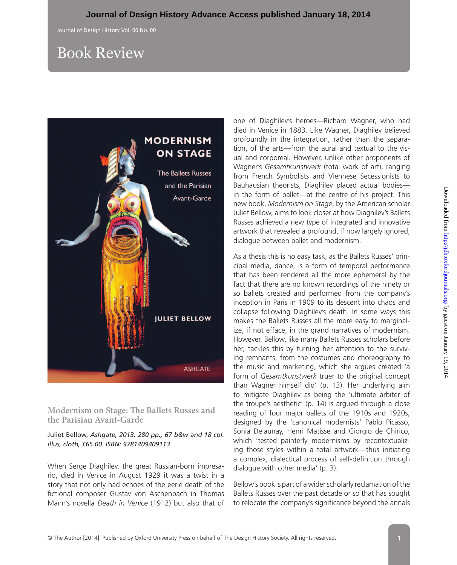## Book Review



**Modernism on Stage: The Ballets Russes and the Parisian Avant-Garde**

Juliet Bellow, *Ashgate, 2013. 280 pp., 67 b&w and 18 col. illus, cloth, £65.00. ISBN: 9781409409113*

When Serge Diaghilev, the great Russian-born impresario, died in Venice in August 1929 it was a twist in a story that not only had echoes of the eerie death of the fictional composer Gustav von Aschenbach in Thomas Mann's novella *Death in Venice* (1912) but also that of one of Diaghilev's heroes—Richard Wagner, who had died in Venice in 1883. Like Wagner, Diaghilev believed profoundly in the integration, rather than the separation, of the arts—from the aural and textual to the visual and corporeal. However, unlike other proponents of Wagner's *Gesamtkunstwerk* (total work of art), ranging from French Symbolists and Viennese Secessionists to Bauhausian theorists, Diaghilev placed actual bodies in the form of ballet—at the centre of his project. This new book, *Modernism on Stage*, by the American scholar Juliet Bellow, aims to look closer at how Diaghilev's Ballets Russes achieved a new type of integrated and innovative artwork that revealed a profound, if now largely ignored, dialogue between ballet and modernism.

As a thesis this is no easy task, as the Ballets Russes' principal media, dance, is a form of temporal performance that has been rendered all the more ephemeral by the fact that there are no known recordings of the ninety or so ballets created and performed from the company's inception in Paris in 1909 to its descent into chaos and collapse following Diaghilev's death. In some ways this makes the Ballets Russes all the more easy to marginalize, if not efface, in the grand narratives of modernism. However, Bellow, like many Ballets Russes scholars before her, tackles this by turning her attention to the surviving remnants, from the costumes and choreography to the music and marketing, which she argues created 'a form of *Gesamtkunstwerk* truer to the original concept than Wagner himself did' (p. 13). Her underlying aim to mitigate Diaghilev as being the 'ultimate arbiter of the troupe's aesthetic' (p. 14) is argued through a close reading of four major ballets of the 1910s and 1920s, designed by the 'canonical modernists' Pablo Picasso, Sonia Delaunay, Henri Matisse and Giorgio de Chirico, which 'tested painterly modernisms by recontextualizing those styles within a total artwork—thus initiating a complex, dialectical process of self-definition through dialogue with other media' (p. 3).

Bellow's book is part of a wider scholarly reclamation of the Ballets Russes over the past decade or so that has sought to relocate the company's significance beyond the annals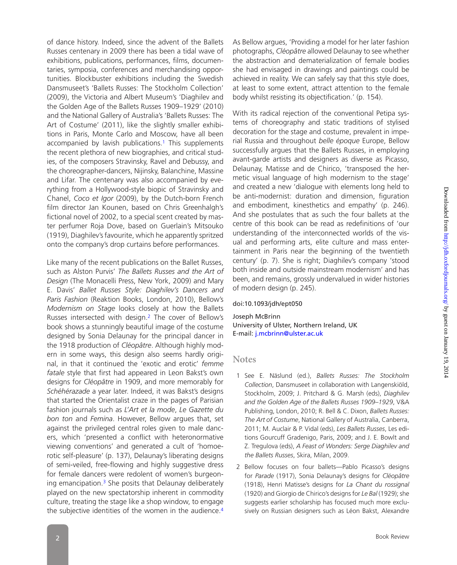of dance history. Indeed, since the advent of the Ballets Russes centenary in 2009 there has been a tidal wave of exhibitions, publications, performances, films, documentaries, symposia, conferences and merchandising opportunities. Blockbuster exhibitions including the Swedish Dansmuseet's 'Ballets Russes: The Stockholm Collection' (2009), the Victoria and Albert Museum's 'Diaghilev and the Golden Age of the Ballets Russes 1909–1929' (2010) and the National Gallery of Australia's 'Ballets Russes: The Art of Costume' (2011), like the slightly smaller exhibitions in Paris, Monte Carlo and Moscow, have all been accompanied by lavish publications.<sup>[1](#page-1-0)</sup> This supplements the recent plethora of new biographies, and critical studies, of the composers Stravinsky, Ravel and Debussy, and the choreographer-dancers, Nijinsky, Balanchine, Massine and Lifar. The centenary was also accompanied by everything from a Hollywood-style biopic of Stravinsky and Chanel, *Coco et Igor* (2009), by the Dutch-born French film director Jan Kounen, based on Chris Greenhalgh's fictional novel of 2002, to a special scent created by master perfumer Roja Dove, based on Guerlain's Mitsouko (1919), Diaghilev's favourite, which he apparently spritzed onto the company's drop curtains before performances.

Like many of the recent publications on the Ballet Russes, such as Alston Purvis' *The Ballets Russes and the Art of Design* (The Monacelli Press, New York, 2009) and Mary E. Davis' *Ballet Russes Style: Diaghilev's Dancers and Paris Fashion* (Reaktion Books, London, 2010), Bellow's *Modernism on Stage* looks closely at how the Ballets Russes intersected with design.[2](#page-1-1) The cover of Bellow's book shows a stunningly beautiful image of the costume designed by Sonia Delaunay for the principal dancer in the 1918 production of *Cléopâtre*. Although highly modern in some ways, this design also seems hardly original, in that it continued the 'exotic and erotic' *femme fatale* style that first had appeared in Leon Bakst's own designs for *Cléopâtre* in 1909, and more memorably for *Schéhérazade* a year later. Indeed, it was Bakst's designs that started the Orientalist craze in the pages of Parisian fashion journals such as *L'Art et la mode*, *Le Gazette du bon ton* and *Femina*. However, Bellow argues that, set against the privileged central roles given to male dancers, which 'presented a conflict with heteronormative viewing conventions' and generated a cult of 'homoerotic self-pleasure' (p. 137), Delaunay's liberating designs of semi-veiled, free-flowing and highly suggestive dress for female dancers were redolent of women's burgeoning emancipation[.3](#page-2-0) She posits that Delaunay deliberately played on the new spectatorship inherent in commodity culture, treating the stage like a shop window, to engage the subjective identities of the women in the audience.<sup>[4](#page-2-1)</sup>

As Bellow argues, 'Providing a model for her later fashion photographs, *Cléopâtre* allowed Delaunay to see whether the abstraction and dematerialization of female bodies she had envisaged in drawings and paintings could be achieved in reality. We can safely say that this style does, at least to some extent, attract attention to the female body whilst resisting its objectification.' (p. 154).

With its radical rejection of the conventional Petipa systems of choreography and static traditions of stylised decoration for the stage and costume, prevalent in imperial Russia and throughout *belle époque* Europe, Bellow successfully argues that the Ballets Russes, in employing avant-garde artists and designers as diverse as Picasso, Delaunay, Matisse and de Chirico, 'transposed the hermetic visual language of high modernism to the stage' and created a new 'dialogue with elements long held to be anti-modernist: duration and dimension, figuration and embodiment, kinesthetics and empathy' (p. 246). And she postulates that as such the four ballets at the centre of this book can be read as redefinitions of 'our understanding of the interconnected worlds of the visual and performing arts, elite culture and mass entertainment in Paris near the beginning of the twentieth century' (p. 7). She is right; Diaghilev's company 'stood both inside and outside mainstream modernism' and has been, and remains, grossly undervalued in wider histories of modern design (p. 245).

## doi:10.1093/jdh/ept050

Joseph McBrinn University of Ulster, Northern Ireland, UK E-mail: [j.mcbrinn@ulster.ac.uk](mailto:j.mcbrinn@ulster.ac.uk?subject=)

## **Notes**

- <span id="page-1-0"></span>1 See E. Näslund (ed.), *Ballets Russes: The Stockholm Collection*, Dansmuseet in collaboration with Langenskiöld, Stockholm, 2009; J. Pritchard & G. Marsh (eds), *Diaghilev and the Golden Age of the Ballets Russes 1909–1929*, V&A Publishing, London, 2010; R. Bell & C. Dixon, *Ballets Russes: The Art of Costume*, National Gallery of Australia, Canberra, 2011; M. Auclair & P. Vidal (eds), *Les Ballets Russes*, Les editions Gourcuff Gradenigo, Paris, 2009; and J. E. Bowlt and Z. Tregulova (eds), *A Feast of Wonders: Serge Diaghilev and the Ballets Russes*, Skira, Milan, 2009.
- <span id="page-1-1"></span>2 Bellow focuses on four ballets—Pablo Picasso's designs for *Parade* (1917), Sonia Delaunay's designs for *Cléopâtre* (1918), Henri Matisse's designs for *La Chant du rossignal* (1920) and Giorgio de Chirico's designs for *Le Bal* (1929); she suggests earlier scholarship has focused much more exclusively on Russian designers such as Léon Bakst, Alexandre